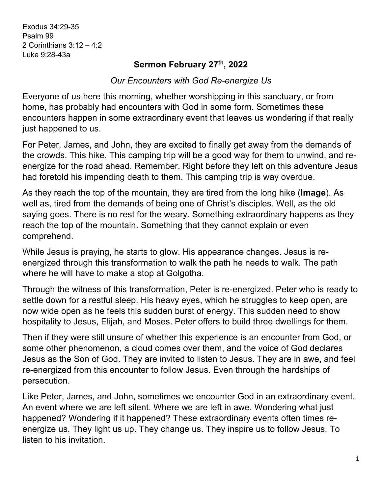Exodus 34:29-35 Psalm 99 2 Corinthians 3:12 – 4:2 Luke 9:28-43a

## **Sermon February 27th, 2022**

*Our Encounters with God Re-energize Us*

Everyone of us here this morning, whether worshipping in this sanctuary, or from home, has probably had encounters with God in some form. Sometimes these encounters happen in some extraordinary event that leaves us wondering if that really just happened to us.

For Peter, James, and John, they are excited to finally get away from the demands of the crowds. This hike. This camping trip will be a good way for them to unwind, and reenergize for the road ahead. Remember. Right before they left on this adventure Jesus had foretold his impending death to them. This camping trip is way overdue.

As they reach the top of the mountain, they are tired from the long hike (**Image**). As well as, tired from the demands of being one of Christ's disciples. Well, as the old saying goes. There is no rest for the weary. Something extraordinary happens as they reach the top of the mountain. Something that they cannot explain or even comprehend.

While Jesus is praying, he starts to glow. His appearance changes. Jesus is reenergized through this transformation to walk the path he needs to walk. The path where he will have to make a stop at Golgotha.

Through the witness of this transformation, Peter is re-energized. Peter who is ready to settle down for a restful sleep. His heavy eyes, which he struggles to keep open, are now wide open as he feels this sudden burst of energy. This sudden need to show hospitality to Jesus, Elijah, and Moses. Peter offers to build three dwellings for them.

Then if they were still unsure of whether this experience is an encounter from God, or some other phenomenon, a cloud comes over them, and the voice of God declares Jesus as the Son of God. They are invited to listen to Jesus. They are in awe, and feel re-energized from this encounter to follow Jesus. Even through the hardships of persecution.

Like Peter, James, and John, sometimes we encounter God in an extraordinary event. An event where we are left silent. Where we are left in awe. Wondering what just happened? Wondering if it happened? These extraordinary events often times reenergize us. They light us up. They change us. They inspire us to follow Jesus. To listen to his invitation.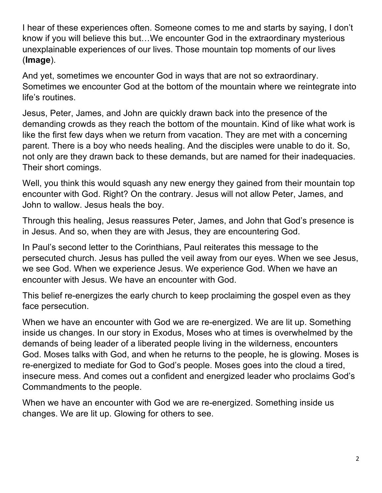I hear of these experiences often. Someone comes to me and starts by saying, I don't know if you will believe this but…We encounter God in the extraordinary mysterious unexplainable experiences of our lives. Those mountain top moments of our lives (**Image**).

And yet, sometimes we encounter God in ways that are not so extraordinary. Sometimes we encounter God at the bottom of the mountain where we reintegrate into life's routines.

Jesus, Peter, James, and John are quickly drawn back into the presence of the demanding crowds as they reach the bottom of the mountain. Kind of like what work is like the first few days when we return from vacation. They are met with a concerning parent. There is a boy who needs healing. And the disciples were unable to do it. So, not only are they drawn back to these demands, but are named for their inadequacies. Their short comings.

Well, you think this would squash any new energy they gained from their mountain top encounter with God. Right? On the contrary. Jesus will not allow Peter, James, and John to wallow. Jesus heals the boy.

Through this healing, Jesus reassures Peter, James, and John that God's presence is in Jesus. And so, when they are with Jesus, they are encountering God.

In Paul's second letter to the Corinthians, Paul reiterates this message to the persecuted church. Jesus has pulled the veil away from our eyes. When we see Jesus, we see God. When we experience Jesus. We experience God. When we have an encounter with Jesus. We have an encounter with God.

This belief re-energizes the early church to keep proclaiming the gospel even as they face persecution.

When we have an encounter with God we are re-energized. We are lit up. Something inside us changes. In our story in Exodus, Moses who at times is overwhelmed by the demands of being leader of a liberated people living in the wilderness, encounters God. Moses talks with God, and when he returns to the people, he is glowing. Moses is re-energized to mediate for God to God's people. Moses goes into the cloud a tired, insecure mess. And comes out a confident and energized leader who proclaims God's Commandments to the people.

When we have an encounter with God we are re-energized. Something inside us changes. We are lit up. Glowing for others to see.